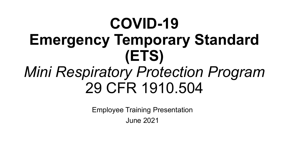# **COVID-19 Emergency Temporary Standard (ETS)**  *Mini Respiratory Protection Program*  29 CFR 1910.504

Employee Training Presentation June 2021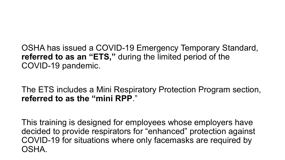OSHA has issued a COVID-19 Emergency Temporary Standard, **referred to as an "ETS,"** during the limited period of the COVID-19 pandemic.

The ETS includes a Mini Respiratory Protection Program section, **referred to as the "mini RPP**."

This training is designed for employees whose employers have decided to provide respirators for "enhanced" protection against COVID-19 for situations where only facemasks are required by OSHA.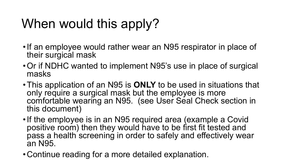## When would this apply?

- If an employee would rather wear an N95 respirator in place of their surgical mask
- •Or if NDHC wanted to implement N95's use in place of surgical masks
- •This application of an N95 is **ONLY** to be used in situations that only require a surgical mask but the employee is more comfortable wearing an N95. (see User Seal Check section in this document)
- If the employee is in an N95 required area (example a Covid positive room) then they would have to be first fit tested and pass a health screening in order to safely and effectively wear an N95.
- •Continue reading for a more detailed explanation.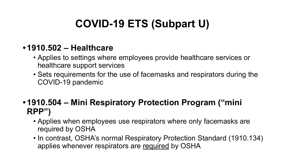## **COVID-19 ETS (Subpart U)**

#### **• 1910.502 – Healthcare**

- Applies to settings where employees provide healthcare services or healthcare support services
- Sets requirements for the use of facemasks and respirators during the COVID-19 pandemic

#### **• 1910.504 – Mini Respiratory Protection Program ("mini RPP")**

- Applies when employees use respirators where only facemasks are required by OSHA
- In contrast, OSHA's normal Respiratory Protection Standard (1910.134) applies whenever respirators are required by OSHA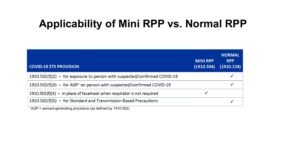#### **Applicability of Mini RPP vs. Normal RPP**

| <b>COVID-19 ETS PROVISION</b>                                                       | <b>MINI RPP</b><br>(1910.504) | <b>NORMAL</b><br><b>RPP</b><br>(1910.134) |
|-------------------------------------------------------------------------------------|-------------------------------|-------------------------------------------|
| $1910.502(f)(2)$ – for exposure to person with suspected/confirmed COVID-19         |                               |                                           |
| $1910.502(f)(3)$ – for AGP <sup>1</sup> on person with suspected/confirmed COVID-19 |                               |                                           |
| $1910.502(f)(4) -$ in place of facemask when respirator is not required             | ✔                             |                                           |
| $1910.502(f)(5)$ – for Standard and Transmission-Based Precautions                  |                               |                                           |

<sup>1</sup> AGP = aerosol-generating procedure (as defined by 1910.502)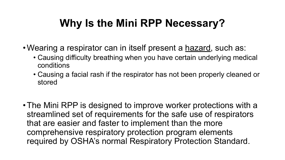## **Why Is the Mini RPP Necessary?**

- Wearing a respirator can in itself present a hazard, such as:
	- Causing difficulty breathing when you have certain underlying medical conditions
	- Causing a facial rash if the respirator has not been properly cleaned or stored
- •The Mini RPP is designed to improve worker protections with a streamlined set of requirements for the safe use of respirators that are easier and faster to implement than the more comprehensive respiratory protection program elements required by OSHA's normal Respiratory Protection Standard.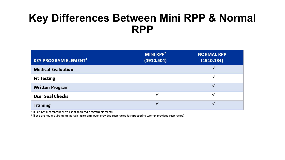#### **Key Differences Between Mini RPP & Normal RPP**

| <b>KEY PROGRAM ELEMENT<sup>1</sup></b> | MINI RPP $2$<br>(1910.504) | <b>NORMAL RPP</b><br>(1910.134) |
|----------------------------------------|----------------------------|---------------------------------|
| <b>Medical Evaluation</b>              |                            |                                 |
| <b>Fit Testing</b>                     |                            | $\checkmark$                    |
| <b>Written Program</b>                 |                            |                                 |
| <b>User Seal Checks</b>                | $\checkmark$               |                                 |
| <b>Training</b>                        |                            |                                 |

 $1$  This is not a comprehensive list of required program elements

<sup>2</sup> These are key requirements pertaining to employer-provided respirators (as opposed to worker-provided respirators)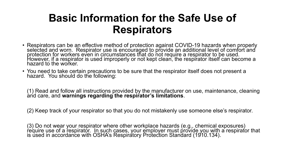#### **Basic Information for the Safe Use of Respirators**

- Respirators can be an effective method of protection against COVID-19 hazards when properly selected and worn. Respirator use is encouraged to provide an additional level of comfort and protection for workers even in circumstances that do not require a respirator to be used. However, if a respirator is used improperly or not kept clean, the respirator itself can become a hazard to the worker.
- You need to take certain precautions to be sure that the respirator itself does not present a hazard. You should do the following:

(1) Read and follow all instructions provided by the manufacturer on use, maintenance, cleaning and care, and **warnings regarding the respirator's limitations**.

(2) Keep track of your respirator so that you do not mistakenly use someone else's respirator.

(3) Do not wear your respirator where other workplace hazards (e.g., chemical exposures) require use of a respirator. In such cases, your employer must provide you with a respirator that is used in accordance with OSHA's Respiratory Protection Standard (1910.134).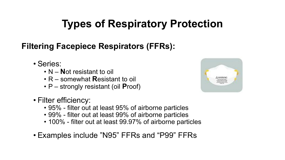#### **Types of Respiratory Protection**

#### **Filtering Facepiece Respirators (FFRs):**

- Series:
	- N **N**ot resistant to oil
	- R somewhat **R**esistant to oil
	- P strongly resistant (oil **P**roof)
- Filter efficiency:
	- 95% filter out at least 95% of airborne particles
	- 99% filter out at least 99% of airborne particles
	- 100% filter out at least 99.97% of airborne particles
- Examples include "N95" FFRs and "P99" FFRs

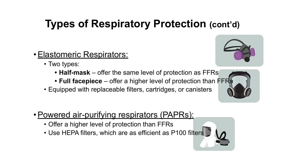## **Types of Respiratory Protection (cont'd)**

- **Elastomeric Respirators:** 
	- Two types:
		- **• Half-mask** offer the same level of protection as FFRs
		- **• Full facepiece**  offer a higher level of protection than FFRs
	- Equipped with replaceable filters, cartridges, or canisters
- Powered air-purifying respirators (PAPRs):
	- Offer a higher level of protection than FFRs
	- Use HEPA filters, which are as efficient as P100 filters





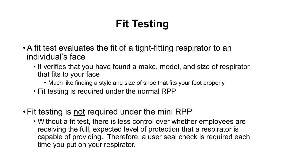## **Fit Testing**

- •A fit test evaluates the fit of a tight-fitting respirator to an individual's face
	- It verifies that you have found a make, model, and size of respirator that fits to your face
		- Much like finding a style and size of shoe that fits your foot properly
	- Fit testing is required under the normal RPP
- Fit testing is not required under the mini RPP
	- Without a fit test, there is less control over whether employees are receiving the full, expected level of protection that a respirator is capable of providing. Therefore, a user seal check is required each time you put on your respirator.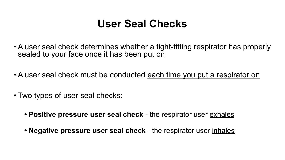#### **User Seal Checks**

- A user seal check determines whether a tight-fitting respirator has properly sealed to your face once it has been put on
- A user seal check must be conducted each time you put a respirator on
- Two types of user seal checks:
	- **• Positive pressure user seal check**  the respirator user exhales
	- **• Negative pressure user seal check**  the respirator user inhales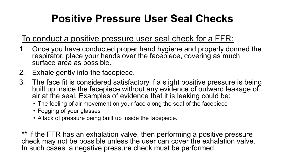#### **Positive Pressure User Seal Checks**

#### To conduct a positive pressure user seal check for a FFR:

- 1. Once you have conducted proper hand hygiene and properly donned the respirator, place your hands over the facepiece, covering as much surface area as possible.
- 2. Exhale gently into the facepiece.
- 3. The face fit is considered satisfactory if a slight positive pressure is being built up inside the facepiece without any evidence of outward leakage of air at the seal. Examples of evidence that it is leaking could be:
	- The feeling of air movement on your face along the seal of the facepiece
	- Fogging of your glasses
	- A lack of pressure being built up inside the facepiece.

\*\* If the FFR has an exhalation valve, then performing a positive pressure check may not be possible unless the user can cover the exhalation valve. In such cases, a negative pressure check must be performed.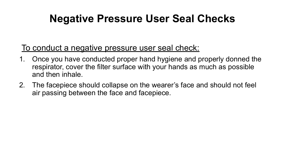#### **Negative Pressure User Seal Checks**

#### To conduct a negative pressure user seal check:

- 1. Once you have conducted proper hand hygiene and properly donned the respirator, cover the filter surface with your hands as much as possible and then inhale.
- 2. The facepiece should collapse on the wearer's face and should not feel air passing between the face and facepiece.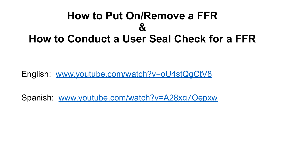#### **How to Put On/Remove a FFR & How to Conduct a User Seal Check for a FFR**

English: [www.youtube.com/watch?v=oU4stQgCtV8](https://www.youtube.com/watch?v=oU4stQgCtV8)

Spanish: [www.youtube.com/watch?v=A28xg7Oepxw](https://www.youtube.com/watch?v=A28xg7Oepxw)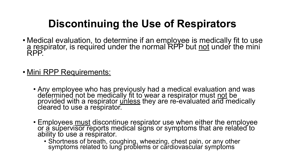#### **Discontinuing the Use of Respirators**

- Medical evaluation, to determine if an employee is medically fit to use a respirator, is required under the normal RPP but not under the mini RPP.
- Mini RPP Requirements:
	- Any employee who has previously had a medical evaluation and was defermined not be medically fit to wear a respirator must not be provided with a respirator unless they are re-evaluated and medically cleared to use a respirator.
	- Employees must discontinue respirator use when either the employee or a supervisor reports medical signs or symptoms that are related to ability to use a respirator.
		- Shortness of breath, coughing, wheezing, chest pain, or any other symptoms related to lung problems or cardiovascular symptoms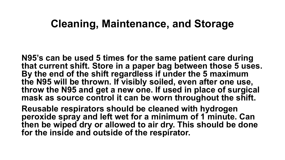#### **Cleaning, Maintenance, and Storage**

**N95's can be used 5 times for the same patient care during that current shift. Store in a paper bag between those 5 uses. By the end of the shift regardless if under the 5 maximum the N95 will be thrown. If visibly soiled, even after one use, throw the N95 and get a new one. If used in place of surgical mask as source control it can be worn throughout the shift.** 

**Reusable respirators should be cleaned with hydrogen peroxide spray and left wet for a minimum of 1 minute. Can then be wiped dry or allowed to air dry. This should be done for the inside and outside of the respirator.**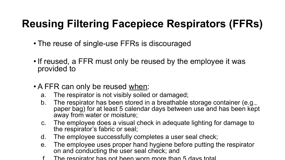## **Reusing Filtering Facepiece Respirators (FFRs)**

- The reuse of single-use FFRs is discouraged
- If reused, a FFR must only be reused by the employee it was provided to
- A FFR can only be reused when:
	- a. The respirator is not visibly soiled or damaged;
	- b. The respirator has been stored in a breathable storage container (e.g., paper bag) for at least 5 calendar days between use and has been kept away from water or moisture;
	- c. The employee does a visual check in adequate lighting for damage to the respirator's fabric or seal;
	- d. The employee successfully completes a user seal check;
	- e. The employee uses proper hand hygiene before putting the respirator on and conducting the user seal check; and
	- The respirator has not been worn more than 5 days total.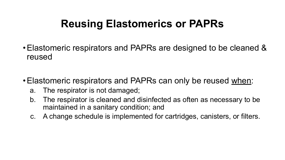#### **Reusing Elastomerics or PAPRs**

- •Elastomeric respirators and PAPRs are designed to be cleaned & reused
- Elastomeric respirators and PAPRs can only be reused when:
	- a. The respirator is not damaged;
	- b. The respirator is cleaned and disinfected as often as necessary to be maintained in a sanitary condition; and
	- c. A change schedule is implemented for cartridges, canisters, or filters.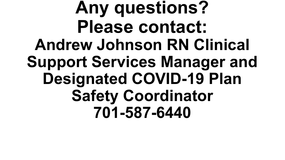**Any questions? Please contact: Andrew Johnson RN Clinical Support Services Manager and Designated COVID-19 Plan Safety Coordinator 701-587-6440**